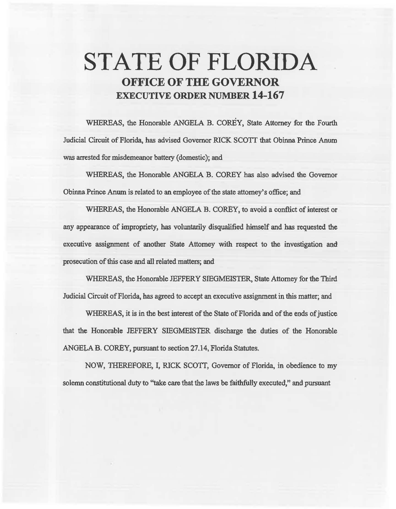# STATE OF FLORIDA OFFICE OF THE GOVERNOR EXECUTIVE ORDER NUMBER 14-167

WHEREAS, the Honorable ANGELA B. COREY, State Attorney for the Fourth Judicial Circuit of Florida, has advised Governor RICK SCOTT that Obinna Prince Anum *was* arrested for misdemeanor battery (domestic); and

WHEREAS, the Honorable ANGELA B. COREY has also advised the Governor Obinna Prince Anum is related to an employee of the state attorney's office; and

WHEREAS, the Honorable ANGELA B. COREY, to avoid a conflict of interest or any appearance of impropriety, has voluntarily disqualified himself and has requested the executive assignment of another State Attorney with respect to the investigation and prosecution of this case and all related matters; and

WHEREAS, the Honorable JEFFERY SIEGMEISTER, State Attorney for the Third Judicial Circuit of Florida, has agreed to accept an executive assignment in this matter; and

WHEREAS, it is in the best interest of the State of Florida and of the ends of justice that the Honorable JEFFERY SIEGMEISTER discharge the duties of the Honorable ANGELA B. COREY, pursuant to section 27.14, Florida Statutes.

NOW, THEREFORE, I, RICK SCOTT, Governor of Florida, in obedience to my solemn constitutional duty to "take care that the laws be faithfully executed," and pursuant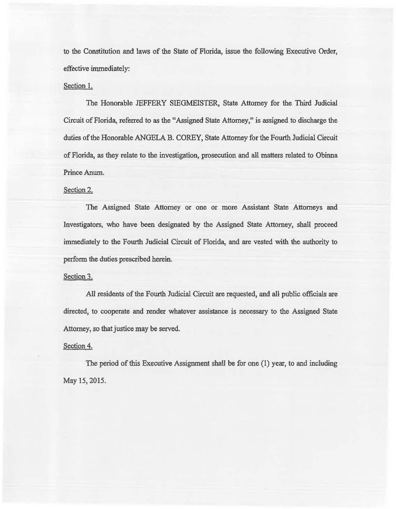to the Constitution and laws of the State of Florida, issue the following Executive Order, effective immediately:

### Section 1.

The Honorable JEFFERY SIEGMEISTER, State Attorney for the Third Judicial Circuit of Florida, referred to as the "Assigned State Attorney," is assigned to discharge the duties of the Honorable ANGELA B. COREY, State Attorney for the Fourth Judicial Circuit of Florida, as they relate to the investigation, prosecution and all. matters related to Obinna Prince Anum.

# Section 2.

The Assigned State Attorney or one or more Assistant State Attorneys and Investigators, who have been designated by the Assigned State Attorney, shall proceed immediately to the Fourth Judicial Circuit of Florida, and are vested with the authority to perform the duties prescribed herein.

#### Section 3.

All residents of the Fourth Judicial Circuit are requested, and all public officials are directed, to cooperate and render whatever assistance is necessary to the Assigned State Attorney, so that justice may be served.

## Section 4.

The period of this Executive Assignment shall be for one (1) year, to and including May 15, 2015.